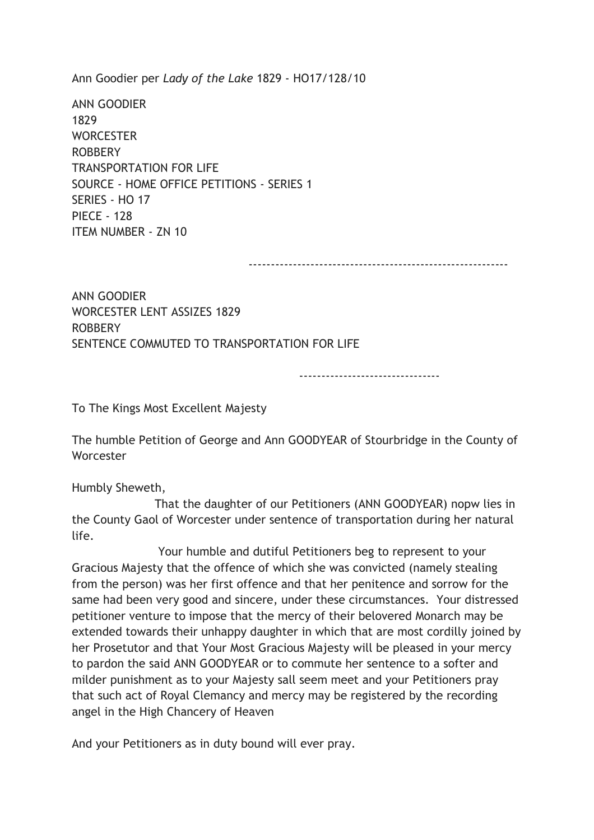Ann Goodier per Lady of the Lake 1829 - HO17/128/10

ANN GOODIER 1829 **WORCESTER** ROBBERY TRANSPORTATION FOR LIFE SOURCE - HOME OFFICE PETITIONS - SERIES 1 SERIES - HO 17 PIECE - 128 ITEM NUMBER - ZN 10

-----------------------------------------------------------

ANN GOODIER WORCESTER LENT ASSIZES 1829 ROBBERY SENTENCE COMMUTED TO TRANSPORTATION FOR LIFE

--------------------------------

To The Kings Most Excellent Majesty

The humble Petition of George and Ann GOODYEAR of Stourbridge in the County of Worcester

Humbly Sheweth,

 That the daughter of our Petitioners (ANN GOODYEAR) nopw lies in the County Gaol of Worcester under sentence of transportation during her natural life.

 Your humble and dutiful Petitioners beg to represent to your Gracious Majesty that the offence of which she was convicted (namely stealing from the person) was her first offence and that her penitence and sorrow for the same had been very good and sincere, under these circumstances. Your distressed petitioner venture to impose that the mercy of their belovered Monarch may be extended towards their unhappy daughter in which that are most cordilly joined by her Prosetutor and that Your Most Gracious Majesty will be pleased in your mercy to pardon the said ANN GOODYEAR or to commute her sentence to a softer and milder punishment as to your Majesty sall seem meet and your Petitioners pray that such act of Royal Clemancy and mercy may be registered by the recording angel in the High Chancery of Heaven

And your Petitioners as in duty bound will ever pray.